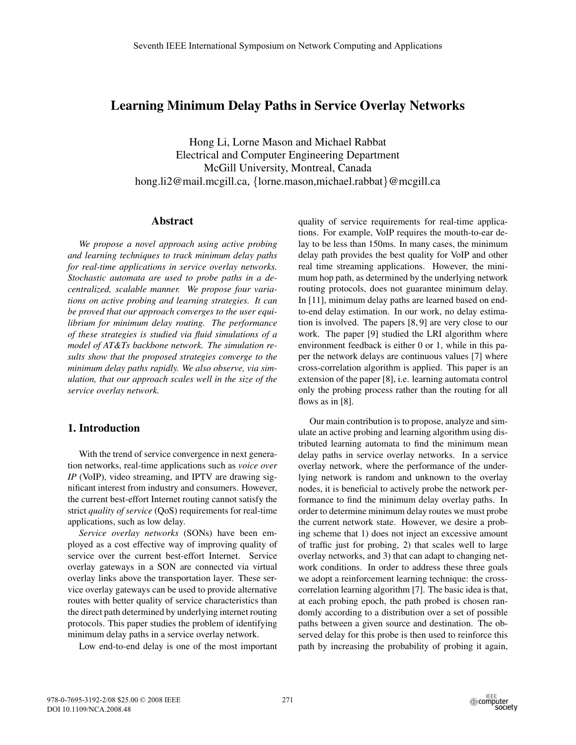# Learning Minimum Delay Paths in Service Overlay Networks

Hong Li, Lorne Mason and Michael Rabbat Electrical and Computer Engineering Department McGill University, Montreal, Canada hong.li2@mail.mcgill.ca, {lorne.mason,michael.rabbat}@mcgill.ca

#### Abstract

*We propose a novel approach using active probing and learning techniques to track minimum delay paths for real-time applications in service overlay networks. Stochastic automata are used to probe paths in a decentralized, scalable manner. We propose four variations on active probing and learning strategies. It can be proved that our approach converges to the user equilibrium for minimum delay routing. The performance of these strategies is studied via fluid simulations of a model of AT&Ts backbone network. The simulation results show that the proposed strategies converge to the minimum delay paths rapidly. We also observe, via simulation, that our approach scales well in the size of the service overlay network.*

## 1. Introduction

With the trend of service convergence in next generation networks, real-time applications such as *voice over IP* (VoIP), video streaming, and IPTV are drawing significant interest from industry and consumers. However, the current best-effort Internet routing cannot satisfy the strict *quality of service* (QoS) requirements for real-time applications, such as low delay.

*Service overlay networks* (SONs) have been employed as a cost effective way of improving quality of service over the current best-effort Internet. Service overlay gateways in a SON are connected via virtual overlay links above the transportation layer. These service overlay gateways can be used to provide alternative routes with better quality of service characteristics than the direct path determined by underlying internet routing protocols. This paper studies the problem of identifying minimum delay paths in a service overlay network.

Low end-to-end delay is one of the most important

quality of service requirements for real-time applications. For example, VoIP requires the mouth-to-ear delay to be less than 150ms. In many cases, the minimum delay path provides the best quality for VoIP and other real time streaming applications. However, the minimum hop path, as determined by the underlying network routing protocols, does not guarantee minimum delay. In [11], minimum delay paths are learned based on endto-end delay estimation. In our work, no delay estimation is involved. The papers [8, 9] are very close to our work. The paper [9] studied the LRI algorithm where environment feedback is either 0 or 1, while in this paper the network delays are continuous values [7] where cross-correlation algorithm is applied. This paper is an extension of the paper [8], i.e. learning automata control only the probing process rather than the routing for all flows as in [8].

Our main contribution is to propose, analyze and simulate an active probing and learning algorithm using distributed learning automata to find the minimum mean delay paths in service overlay networks. In a service overlay network, where the performance of the underlying network is random and unknown to the overlay nodes, it is beneficial to actively probe the network performance to find the minimum delay overlay paths. In order to determine minimum delay routes we must probe the current network state. However, we desire a probing scheme that 1) does not inject an excessive amount of traffic just for probing, 2) that scales well to large overlay networks, and 3) that can adapt to changing network conditions. In order to address these three goals we adopt a reinforcement learning technique: the crosscorrelation learning algorithm [7]. The basic idea is that, at each probing epoch, the path probed is chosen randomly according to a distribution over a set of possible paths between a given source and destination. The observed delay for this probe is then used to reinforce this path by increasing the probability of probing it again,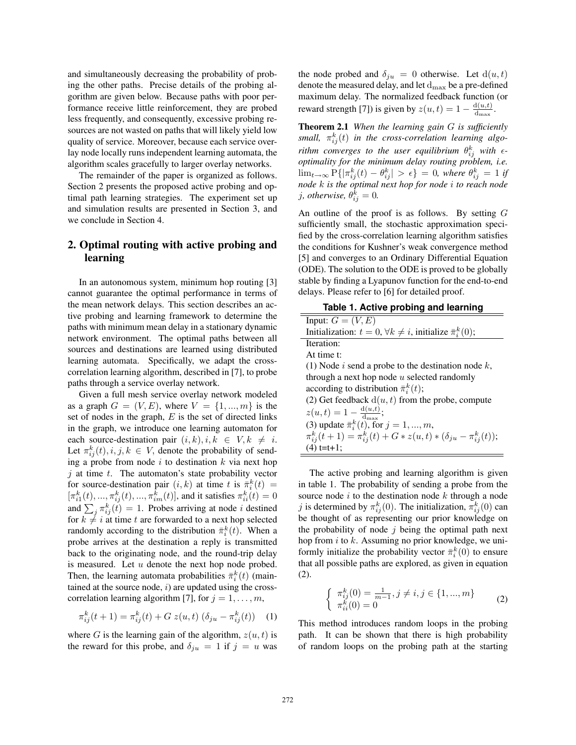and simultaneously decreasing the probability of probing the other paths. Precise details of the probing algorithm are given below. Because paths with poor performance receive little reinforcement, they are probed less frequently, and consequently, excessive probing resources are not wasted on paths that will likely yield low quality of service. Moreover, because each service overlay node locally runs independent learning automata, the algorithm scales gracefully to larger overlay networks.

The remainder of the paper is organized as follows. Section 2 presents the proposed active probing and optimal path learning strategies. The experiment set up and simulation results are presented in Section 3, and we conclude in Section 4.

# 2. Optimal routing with active probing and learning

In an autonomous system, minimum hop routing [3] cannot guarantee the optimal performance in terms of the mean network delays. This section describes an active probing and learning framework to determine the paths with minimum mean delay in a stationary dynamic network environment. The optimal paths between all sources and destinations are learned using distributed learning automata. Specifically, we adapt the crosscorrelation learning algorithm, described in [7], to probe paths through a service overlay network.

Given a full mesh service overlay network modeled as a graph  $G = (V, E)$ , where  $V = \{1, ..., m\}$  is the set of nodes in the graph,  $E$  is the set of directed links in the graph, we introduce one learning automaton for each source-destination pair  $(i, k), i, k \in V, k \neq i$ . Let  $\pi_{ij}^k(t), i, j, k \in V$ , denote the probability of sending a probe from node  $i$  to destination  $k$  via next hop  $j$  at time  $t$ . The automaton's state probability vector for source-destination pair  $(i, k)$  at time t is  $\bar{\pi}_i^k(t) =$  $[\pi_{i1}^{k}(t),...,\pi_{ij}^{k}(t),...,\pi_{im}^{\bar{k}}(t)]$ , and it satisfies  $\pi_{ii}^{k}(t)=0$ and  $\sum_j \pi_{ij}^k(t) = 1$ . Probes arriving at node *i* destined for  $k \neq i$  at time t are forwarded to a next hop selected randomly according to the distribution  $\bar{\pi}_i^k(t)$ . When a probe arrives at the destination a reply is transmitted back to the originating node, and the round-trip delay is measured. Let  $u$  denote the next hop node probed. Then, the learning automata probabilities  $\bar{\pi}_i^k(t)$  (maintained at the source node,  $i$ ) are updated using the crosscorrelation learning algorithm [7], for  $j = 1, \ldots, m$ ,

$$
\pi_{ij}^k(t+1) = \pi_{ij}^k(t) + G z(u, t) (\delta_{ju} - \pi_{ij}^k(t)) \quad (1)
$$

where G is the learning gain of the algorithm,  $z(u, t)$  is the reward for this probe, and  $\delta_{ju} = 1$  if  $j = u$  was

the node probed and  $\delta_{ju} = 0$  otherwise. Let  $d(u, t)$ denote the measured delay, and let  $d_{\text{max}}$  be a pre-defined maximum delay. The normalized feedback function (or reward strength [7]) is given by  $z(u, t) = 1 - \frac{d(u, t)}{d_{\text{max}}}.$ 

Theorem 2.1 *When the learning gain* G *is sufficiently*  $small, \; \pi_{ij}^k(t)$  *in the cross-correlation learning algo-* $\epsilon$  *rithm converges to the user equilibrium*  $\theta_{ij}^k$  *with*  $\epsilon$ *optimality for the minimum delay routing problem, i.e.*  $\lim_{t\to\infty} P\{|\pi_{ij}^k(t) - \theta_{ij}^k| > \epsilon\} = 0$ , where  $\theta_{ij}^k = 1$  if *node* k *is the optimal next hop for node* i *to reach node* j, otherwise,  $\theta_{ij}^{\overline{k}} = 0$ .

An outline of the proof is as follows. By setting G sufficiently small, the stochastic approximation specified by the cross-correlation learning algorithm satisfies the conditions for Kushner's weak convergence method [5] and converges to an Ordinary Differential Equation (ODE). The solution to the ODE is proved to be globally stable by finding a Lyapunov function for the end-to-end delays. Please refer to [6] for detailed proof.

|  |  |  |  | Table 1. Active probing and learning |
|--|--|--|--|--------------------------------------|
|--|--|--|--|--------------------------------------|

| Input: $G = (V, E)$                                                             |  |  |  |
|---------------------------------------------------------------------------------|--|--|--|
| Initialization: $t = 0, \forall k \neq i$ , initialize $\bar{\pi}_i^k(0)$ ;     |  |  |  |
| Iteration:                                                                      |  |  |  |
| At time t:                                                                      |  |  |  |
| (1) Node i send a probe to the destination node $k$ ,                           |  |  |  |
| through a next hop node $u$ selected randomly                                   |  |  |  |
| according to distribution $\bar{\pi}_{i}^{k}(t)$ ;                              |  |  |  |
| (2) Get feedback $d(u, t)$ from the probe, compute                              |  |  |  |
| $z(u,t) = 1 - \frac{d(u,t)}{d};$                                                |  |  |  |
| (3) update $\bar{\pi}_{i}^{k}(t)$ , for $j = 1, , m$ ,                          |  |  |  |
| $\pi_{ii}^k(t+1) = \pi_{ii}^k(t) + G * z(u,t) * (\delta_{ju} - \pi_{ii}^k(t));$ |  |  |  |
| $(4)$ t=t+1;                                                                    |  |  |  |

The active probing and learning algorithm is given in table 1. The probability of sending a probe from the source node  $i$  to the destination node  $k$  through a node j is determined by  $\pi_{ij}^k(0)$ . The initialization,  $\pi_{ij}^k(0)$  can be thought of as representing our prior knowledge on the probability of node  $j$  being the optimal path next hop from  $i$  to  $k$ . Assuming no prior knowledge, we uniformly initialize the probability vector  $\bar{\pi}_{i}^{k}(0)$  to ensure that all possible paths are explored, as given in equation (2).

$$
\begin{cases} \pi_{ij}^k(0) = \frac{1}{m-1}, j \neq i, j \in \{1, ..., m\} \\ \pi_{ii}^k(0) = 0 \end{cases}
$$
 (2)

This method introduces random loops in the probing path. It can be shown that there is high probability of random loops on the probing path at the starting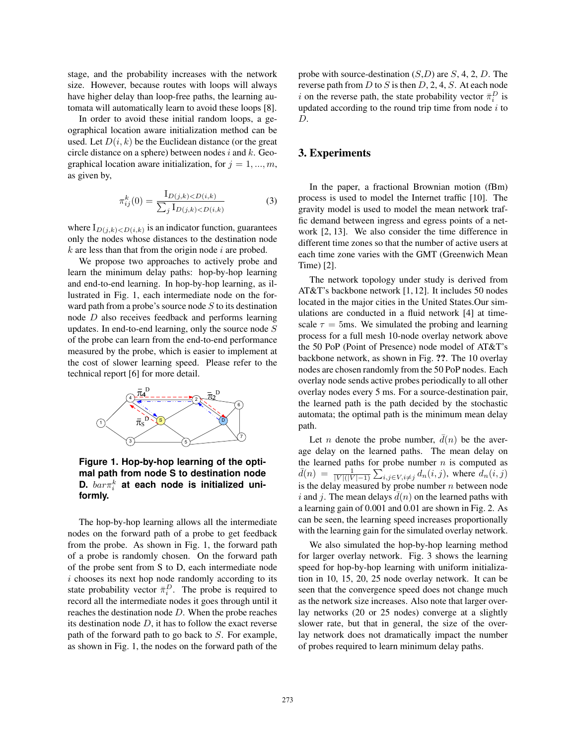stage, and the probability increases with the network size. However, because routes with loops will always have higher delay than loop-free paths, the learning automata will automatically learn to avoid these loops [8].

In order to avoid these initial random loops, a geographical location aware initialization method can be used. Let  $D(i, k)$  be the Euclidean distance (or the great circle distance on a sphere) between nodes i and  $k$ . Geographical location aware initialization, for  $j = 1, ..., m$ , as given by,

$$
\pi_{ij}^k(0) = \frac{I_{D(j,k) < D(i,k)}}{\sum_j I_{D(j,k) < D(i,k)}}\tag{3}
$$

where  $I_{D(i,k) \le D(i,k)}$  is an indicator function, guarantees only the nodes whose distances to the destination node  $k$  are less than that from the origin node  $i$  are probed.

We propose two approaches to actively probe and learn the minimum delay paths: hop-by-hop learning and end-to-end learning. In hop-by-hop learning, as illustrated in Fig. 1, each intermediate node on the forward path from a probe's source node  $S$  to its destination node D also receives feedback and performs learning updates. In end-to-end learning, only the source node  $S$ of the probe can learn from the end-to-end performance measured by the probe, which is easier to implement at the cost of slower learning speed. Please refer to the technical report [6] for more detail.



**Figure 1. Hop-by-hop learning of the optimal path from node S to destination node D.**  $bar\pi^k_i$  at each node is initialized uni**formly.**

The hop-by-hop learning allows all the intermediate nodes on the forward path of a probe to get feedback from the probe. As shown in Fig. 1, the forward path of a probe is randomly chosen. On the forward path of the probe sent from S to D, each intermediate node i chooses its next hop node randomly according to its state probability vector  $\bar{\pi}_i^D$ . The probe is required to record all the intermediate nodes it goes through until it reaches the destination node D. When the probe reaches its destination node  $D$ , it has to follow the exact reverse path of the forward path to go back to S. For example, as shown in Fig. 1, the nodes on the forward path of the

probe with source-destination  $(S,D)$  are  $S, 4, 2, D$ . The reverse path from  $D$  to  $S$  is then  $D$ , 2, 4,  $S$ . At each node i on the reverse path, the state probability vector  $\bar{\pi}_i^D$  is updated according to the round trip time from node  $i$  to D.

### 3. Experiments

In the paper, a fractional Brownian motion (fBm) process is used to model the Internet traffic [10]. The gravity model is used to model the mean network traffic demand between ingress and egress points of a network [2, 13]. We also consider the time difference in different time zones so that the number of active users at each time zone varies with the GMT (Greenwich Mean Time) [2].

The network topology under study is derived from AT&T's backbone network [1, 12]. It includes 50 nodes located in the major cities in the United States.Our simulations are conducted in a fluid network [4] at timescale  $\tau = 5$ ms. We simulated the probing and learning process for a full mesh 10-node overlay network above the 50 PoP (Point of Presence) node model of AT&T's backbone network, as shown in Fig. ??. The 10 overlay nodes are chosen randomly from the 50 PoP nodes. Each overlay node sends active probes periodically to all other overlay nodes every 5 ms. For a source-destination pair, the learned path is the path decided by the stochastic automata; the optimal path is the minimum mean delay path.

Let *n* denote the probe number,  $\bar{d}(n)$  be the average delay on the learned paths. The mean delay on the learned paths for probe number  $n$  is computed as  $\bar{d}(n) = \frac{1}{|V|(|V|-1)} \sum_{i,j \in V, i \neq j} d_n(i,j)$ , where  $d_n(i,j)$ is the delay measured by probe number  $n$  between node i and j. The mean delays  $\overline{d}(n)$  on the learned paths with a learning gain of 0.001 and 0.01 are shown in Fig. 2. As can be seen, the learning speed increases proportionally with the learning gain for the simulated overlay network.

We also simulated the hop-by-hop learning method for larger overlay network. Fig. 3 shows the learning speed for hop-by-hop learning with uniform initialization in 10, 15, 20, 25 node overlay network. It can be seen that the convergence speed does not change much as the network size increases. Also note that larger overlay networks (20 or 25 nodes) converge at a slightly slower rate, but that in general, the size of the overlay network does not dramatically impact the number of probes required to learn minimum delay paths.